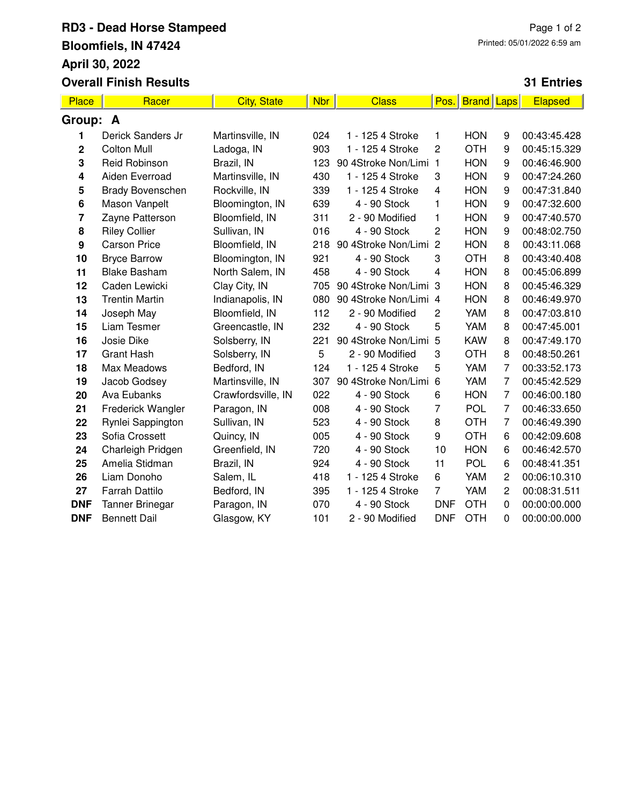## **RD3 - Dead Horse Stampeed Bloomfiels, IN 47424 April 30, 2022 Overall Finish Results**

## **31 Entries**

| <b>Place</b>     | Racer                   | <b>City, State</b> | <b>Nbr</b> | <b>Class</b>          | Pos.           | <b>Brand</b> | Laps           | <b>Elapsed</b> |
|------------------|-------------------------|--------------------|------------|-----------------------|----------------|--------------|----------------|----------------|
| Group: A         |                         |                    |            |                       |                |              |                |                |
| 1                | Derick Sanders Jr       | Martinsville, IN   | 024        | 1 - 125 4 Stroke      | 1              | <b>HON</b>   | 9              | 00:43:45.428   |
| 2                | <b>Colton Mull</b>      | Ladoga, IN         | 903        | 1 - 125 4 Stroke      | 2              | <b>OTH</b>   | 9              | 00:45:15.329   |
| 3                | Reid Robinson           | Brazil, IN         | 123        | 90 4Stroke Non/Limi 1 |                | <b>HON</b>   | 9              | 00:46:46.900   |
| 4                | Aiden Everroad          | Martinsville, IN   | 430        | 1 - 125 4 Stroke      | 3              | <b>HON</b>   | 9              | 00:47:24.260   |
| 5                | <b>Brady Bovenschen</b> | Rockville, IN      | 339        | 1 - 125 4 Stroke      | 4              | <b>HON</b>   | 9              | 00:47:31.840   |
| 6                | Mason Vanpelt           | Bloomington, IN    | 639        | 4 - 90 Stock          | 1              | <b>HON</b>   | 9              | 00:47:32.600   |
| 7                | Zayne Patterson         | Bloomfield, IN     | 311        | 2 - 90 Modified       | 1              | <b>HON</b>   | 9              | 00:47:40.570   |
| 8                | <b>Riley Collier</b>    | Sullivan, IN       | 016        | 4 - 90 Stock          | $\overline{2}$ | <b>HON</b>   | 9              | 00:48:02.750   |
| $\boldsymbol{9}$ | <b>Carson Price</b>     | Bloomfield, IN     | 218        | 90 4Stroke Non/Limi   | $\overline{2}$ | <b>HON</b>   | 8              | 00:43:11.068   |
| 10               | <b>Bryce Barrow</b>     | Bloomington, IN    | 921        | 4 - 90 Stock          | 3              | <b>OTH</b>   | 8              | 00:43:40.408   |
| 11               | <b>Blake Basham</b>     | North Salem, IN    | 458        | 4 - 90 Stock          | 4              | <b>HON</b>   | 8              | 00:45:06.899   |
| 12               | Caden Lewicki           | Clay City, IN      | 705        | 90 4Stroke Non/Limi 3 |                | <b>HON</b>   | 8              | 00:45:46.329   |
| 13               | <b>Trentin Martin</b>   | Indianapolis, IN   | 080        | 90 4Stroke Non/Limi 4 |                | <b>HON</b>   | 8              | 00:46:49.970   |
| 14               | Joseph May              | Bloomfield, IN     | 112        | 2 - 90 Modified       | 2              | YAM          | 8              | 00:47:03.810   |
| 15               | Liam Tesmer             | Greencastle, IN    | 232        | 4 - 90 Stock          | 5              | YAM          | 8              | 00:47:45.001   |
| 16               | Josie Dike              | Solsberry, IN      | 221        | 90 4Stroke Non/Limi   | 5              | <b>KAW</b>   | 8              | 00:47:49.170   |
| 17               | <b>Grant Hash</b>       | Solsberry, IN      | 5          | 2 - 90 Modified       | 3              | <b>OTH</b>   | 8              | 00:48:50.261   |
| 18               | Max Meadows             | Bedford, IN        | 124        | 1 - 125 4 Stroke      | 5              | YAM          | $\overline{7}$ | 00:33:52.173   |
| 19               | Jacob Godsey            | Martinsville, IN   | 307        | 90 4Stroke Non/Limi 6 |                | YAM          | $\overline{7}$ | 00:45:42.529   |
| 20               | <b>Ava Eubanks</b>      | Crawfordsville, IN | 022        | 4 - 90 Stock          | 6              | <b>HON</b>   | $\overline{7}$ | 00:46:00.180   |
| 21               | Frederick Wangler       | Paragon, IN        | 008        | 4 - 90 Stock          | 7              | <b>POL</b>   | 7              | 00:46:33.650   |
| 22               | Rynlei Sappington       | Sullivan, IN       | 523        | 4 - 90 Stock          | 8              | <b>OTH</b>   | $\overline{7}$ | 00:46:49.390   |
| 23               | Sofia Crossett          | Quincy, IN         | 005        | 4 - 90 Stock          | 9              | <b>OTH</b>   | 6              | 00:42:09.608   |
| 24               | Charleigh Pridgen       | Greenfield, IN     | 720        | 4 - 90 Stock          | 10             | <b>HON</b>   | 6              | 00:46:42.570   |
| 25               | Amelia Stidman          | Brazil, IN         | 924        | 4 - 90 Stock          | 11             | <b>POL</b>   | 6              | 00:48:41.351   |
| 26               | Liam Donoho             | Salem, IL          | 418        | 1 - 125 4 Stroke      | 6              | YAM          | 2              | 00:06:10.310   |
| 27               | <b>Farrah Dattilo</b>   | Bedford, IN        | 395        | 1 - 125 4 Stroke      | $\overline{7}$ | YAM          | $\overline{c}$ | 00:08:31.511   |
| <b>DNF</b>       | <b>Tanner Brinegar</b>  | Paragon, IN        | 070        | 4 - 90 Stock          | <b>DNF</b>     | <b>OTH</b>   | $\mathbf 0$    | 00:00:00.000   |
| <b>DNF</b>       | <b>Bennett Dail</b>     | Glasgow, KY        | 101        | 2 - 90 Modified       | <b>DNF</b>     | <b>OTH</b>   | $\Omega$       | 00:00:00.000   |